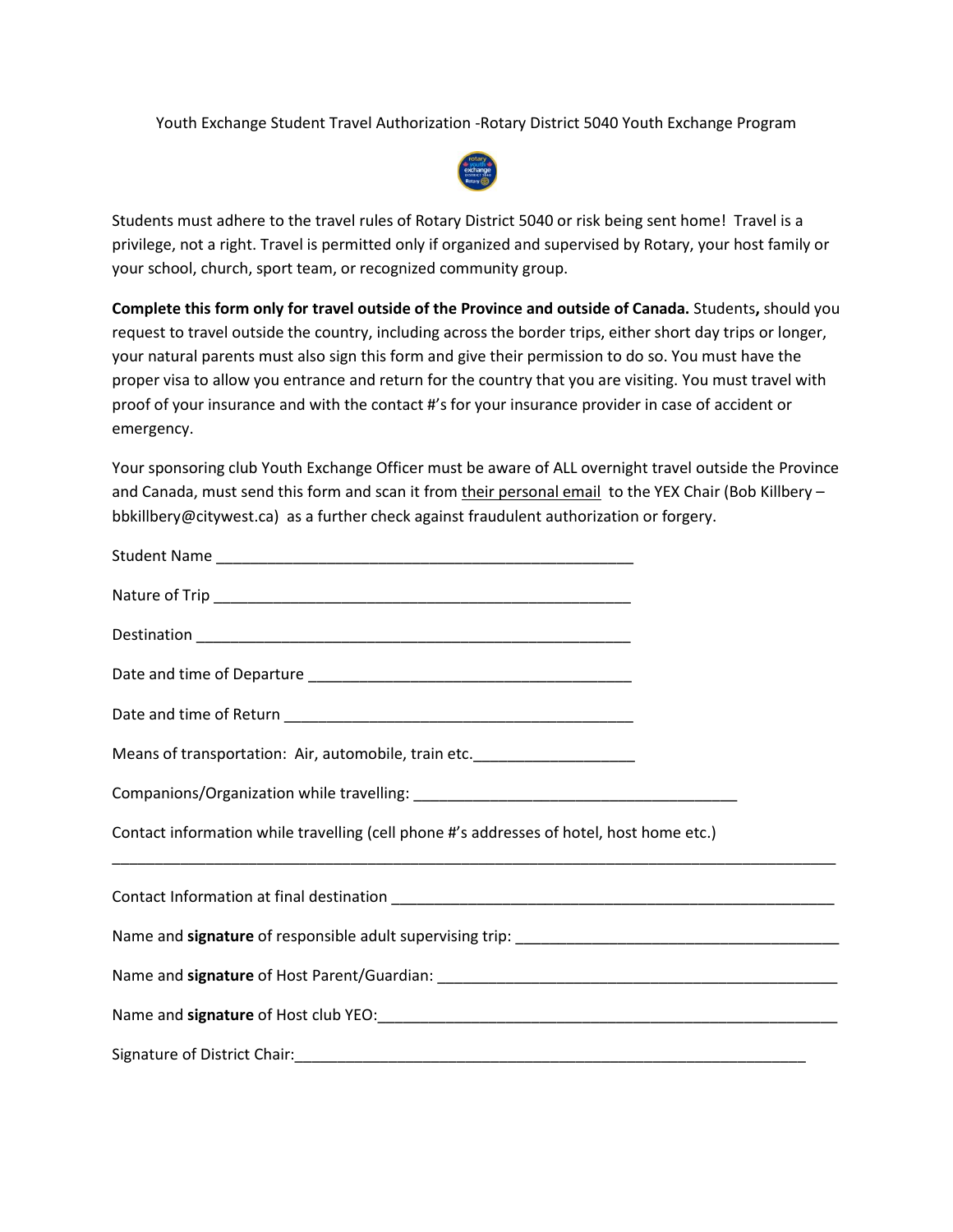Youth Exchange Student Travel Authorization -Rotary District 5040 Youth Exchange Program



Students must adhere to the travel rules of Rotary District 5040 or risk being sent home! Travel is a privilege, not a right. Travel is permitted only if organized and supervised by Rotary, your host family or your school, church, sport team, or recognized community group.

**Complete this form only for travel outside of the Province and outside of Canada.** Students**,** should you request to travel outside the country, including across the border trips, either short day trips or longer, your natural parents must also sign this form and give their permission to do so. You must have the proper visa to allow you entrance and return for the country that you are visiting. You must travel with proof of your insurance and with the contact #'s for your insurance provider in case of accident or emergency.

Your sponsoring club Youth Exchange Officer must be aware of ALL overnight travel outside the Province and Canada, must send this form and scan it from their personal email to the YEX Chair (Bob Killbery – bbkillbery@citywest.ca) as a further check against fraudulent authorization or forgery.

| Means of transportation: Air, automobile, train etc.                                     |  |
|------------------------------------------------------------------------------------------|--|
|                                                                                          |  |
| Contact information while travelling (cell phone #'s addresses of hotel, host home etc.) |  |
|                                                                                          |  |
|                                                                                          |  |
|                                                                                          |  |
|                                                                                          |  |
|                                                                                          |  |